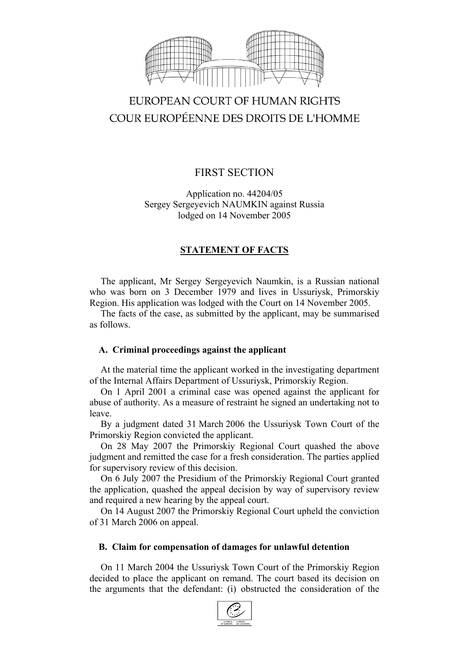

# EUROPEAN COURT OF HUMAN RIGHTS COUR EUROPÉENNE DES DROITS DE L'HOMME

# FIRST SECTION

Application no. 44204/05 Sergey Sergeyevich NAUMKIN against Russia lodged on 14 November 2005

## **STATEMENT OF FACTS**

The applicant, Mr Sergey Sergeyevich Naumkin, is a Russian national who was born on 3 December 1979 and lives in Ussuriysk, Primorskiy Region. His application was lodged with the Court on 14 November 2005.

The facts of the case, as submitted by the applicant, may be summarised as follows.

## **A. Criminal proceedings against the applicant**

At the material time the applicant worked in the investigating department of the Internal Affairs Department of Ussuriysk, Primorskiy Region.

On 1 April 2001 a criminal case was opened against the applicant for abuse of authority. As a measure of restraint he signed an undertaking not to leave.

By a judgment dated 31 March 2006 the Ussuriysk Town Court of the Primorskiy Region convicted the applicant.

On 28 May 2007 the Primorskiy Regional Court quashed the above judgment and remitted the case for a fresh consideration. The parties applied for supervisory review of this decision.

On 6 July 2007 the Presidium of the Primorskiy Regional Court granted the application, quashed the appeal decision by way of supervisory review and required a new hearing by the appeal court.

On 14 August 2007 the Primorskiy Regional Court upheld the conviction of 31 March 2006 on appeal.

## **B. Claim for compensation of damages for unlawful detention**

On 11 March 2004 the Ussuriysk Town Court of the Primorskiy Region decided to place the applicant on remand. The court based its decision on the arguments that the defendant: (i) obstructed the consideration of the

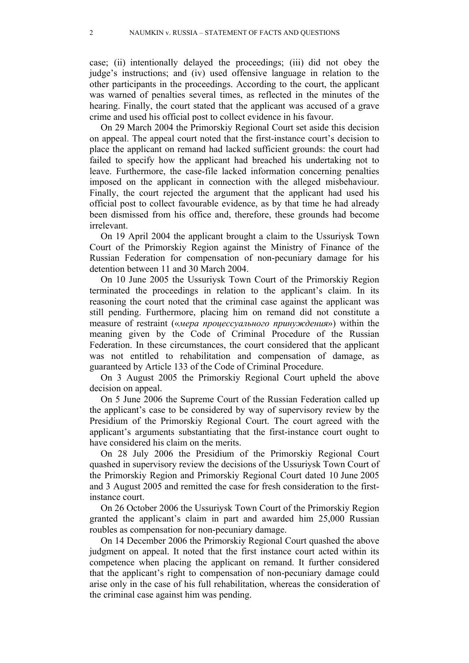case; (ii) intentionally delayed the proceedings; (iii) did not obey the judge's instructions; and (iv) used offensive language in relation to the other participants in the proceedings. According to the court, the applicant was warned of penalties several times, as reflected in the minutes of the hearing. Finally, the court stated that the applicant was accused of a grave crime and used his official post to collect evidence in his favour.

On 29 March 2004 the Primorskiy Regional Court set aside this decision on appeal. The appeal court noted that the first-instance court's decision to place the applicant on remand had lacked sufficient grounds: the court had failed to specify how the applicant had breached his undertaking not to leave. Furthermore, the case-file lacked information concerning penalties imposed on the applicant in connection with the alleged misbehaviour. Finally, the court rejected the argument that the applicant had used his official post to collect favourable evidence, as by that time he had already been dismissed from his office and, therefore, these grounds had become irrelevant.

On 19 April 2004 the applicant brought a claim to the Ussuriysk Town Court of the Primorskiy Region against the Ministry of Finance of the Russian Federation for compensation of non-pecuniary damage for his detention between 11 and 30 March 2004.

On 10 June 2005 the Ussuriysk Town Court of the Primorskiy Region terminated the proceedings in relation to the applicant's claim. In its reasoning the court noted that the criminal case against the applicant was still pending. Furthermore, placing him on remand did not constitute a measure of restraint («*мера процессуального принуждения*») within the meaning given by the Code of Criminal Procedure of the Russian Federation. In these circumstances, the court considered that the applicant was not entitled to rehabilitation and compensation of damage, as guaranteed by Article 133 of the Code of Criminal Procedure.

On 3 August 2005 the Primorskiy Regional Court upheld the above decision on appeal.

On 5 June 2006 the Supreme Court of the Russian Federation called up the applicant's case to be considered by way of supervisory review by the Presidium of the Primorskiy Regional Court. The court agreed with the applicant's arguments substantiating that the first-instance court ought to have considered his claim on the merits.

On 28 July 2006 the Presidium of the Primorskiy Regional Court quashed in supervisory review the decisions of the Ussuriysk Town Court of the Primorskiy Region and Primorskiy Regional Court dated 10 June 2005 and 3 August 2005 and remitted the case for fresh consideration to the firstinstance court.

On 26 October 2006 the Ussuriysk Town Court of the Primorskiy Region granted the applicant's claim in part and awarded him 25,000 Russian roubles as compensation for non-pecuniary damage.

On 14 December 2006 the Primorskiy Regional Court quashed the above judgment on appeal. It noted that the first instance court acted within its competence when placing the applicant on remand. It further considered that the applicant's right to compensation of non-pecuniary damage could arise only in the case of his full rehabilitation, whereas the consideration of the criminal case against him was pending.